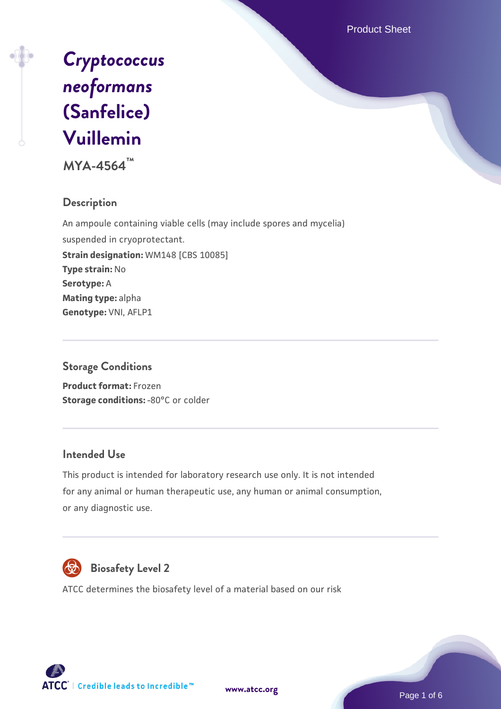Product Sheet



**MYA-4564™**

# **Description**

An ampoule containing viable cells (may include spores and mycelia) suspended in cryoprotectant. **Strain designation:** WM148 [CBS 10085] **Type strain:** No **Serotype:** A **Mating type:** alpha **Genotype:** VNI, AFLP1

# **Storage Conditions**

**Product format:** Frozen **Storage conditions: -80°C or colder** 

#### **Intended Use**

This product is intended for laboratory research use only. It is not intended for any animal or human therapeutic use, any human or animal consumption, or any diagnostic use.



# **Biosafety Level 2**

ATCC determines the biosafety level of a material based on our risk



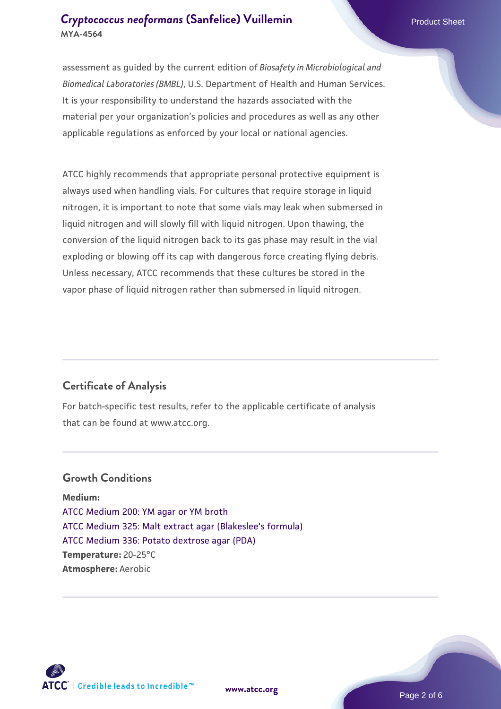assessment as guided by the current edition of *Biosafety in Microbiological and Biomedical Laboratories (BMBL)*, U.S. Department of Health and Human Services. It is your responsibility to understand the hazards associated with the material per your organization's policies and procedures as well as any other applicable regulations as enforced by your local or national agencies.

ATCC highly recommends that appropriate personal protective equipment is always used when handling vials. For cultures that require storage in liquid nitrogen, it is important to note that some vials may leak when submersed in liquid nitrogen and will slowly fill with liquid nitrogen. Upon thawing, the conversion of the liquid nitrogen back to its gas phase may result in the vial exploding or blowing off its cap with dangerous force creating flying debris. Unless necessary, ATCC recommends that these cultures be stored in the vapor phase of liquid nitrogen rather than submersed in liquid nitrogen.

# **Certificate of Analysis**

For batch-specific test results, refer to the applicable certificate of analysis that can be found at www.atcc.org.

### **Growth Conditions**

**Medium:**  [ATCC Medium 200: YM agar or YM broth](https://www.atcc.org/-/media/product-assets/documents/microbial-media-formulations/2/0/0/atcc-medium-200.pdf?rev=ac40fd74dc13433a809367b0b9da30fc) [ATCC Medium 325: Malt extract agar \(Blakeslee's formula\)](https://www.atcc.org/-/media/product-assets/documents/microbial-media-formulations/3/2/5/atcc-medium-325.pdf?rev=146ec77015184a96912232dcb12386f9) [ATCC Medium 336: Potato dextrose agar \(PDA\)](https://www.atcc.org/-/media/product-assets/documents/microbial-media-formulations/3/3/6/atcc-medium-336.pdf?rev=d9160ad44d934cd8b65175461abbf3b9) **Temperature:** 20-25°C **Atmosphere:** Aerobic



**[www.atcc.org](http://www.atcc.org)**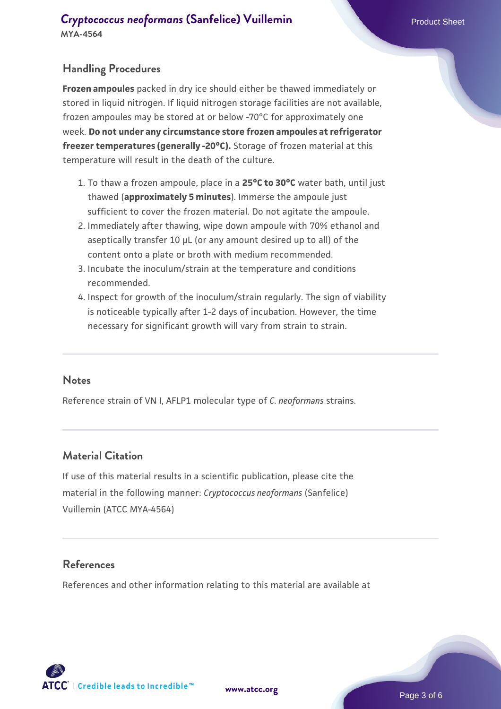### **Handling Procedures**

**Frozen ampoules** packed in dry ice should either be thawed immediately or stored in liquid nitrogen. If liquid nitrogen storage facilities are not available, frozen ampoules may be stored at or below -70°C for approximately one week. **Do not under any circumstance store frozen ampoules at refrigerator freezer temperatures (generally -20°C).** Storage of frozen material at this temperature will result in the death of the culture.

- 1. To thaw a frozen ampoule, place in a **25°C to 30°C** water bath, until just thawed (**approximately 5 minutes**). Immerse the ampoule just sufficient to cover the frozen material. Do not agitate the ampoule.
- 2. Immediately after thawing, wipe down ampoule with 70% ethanol and aseptically transfer 10 µL (or any amount desired up to all) of the content onto a plate or broth with medium recommended.
- Incubate the inoculum/strain at the temperature and conditions 3. recommended.
- 4. Inspect for growth of the inoculum/strain regularly. The sign of viability is noticeable typically after 1-2 days of incubation. However, the time necessary for significant growth will vary from strain to strain.

#### **Notes**

Reference strain of VN I, AFLP1 molecular type of *C. neoformans* strains.

#### **Material Citation**

If use of this material results in a scientific publication, please cite the material in the following manner: *Cryptococcus neoformans* (Sanfelice) Vuillemin (ATCC MYA-4564)

#### **References**

References and other information relating to this material are available at

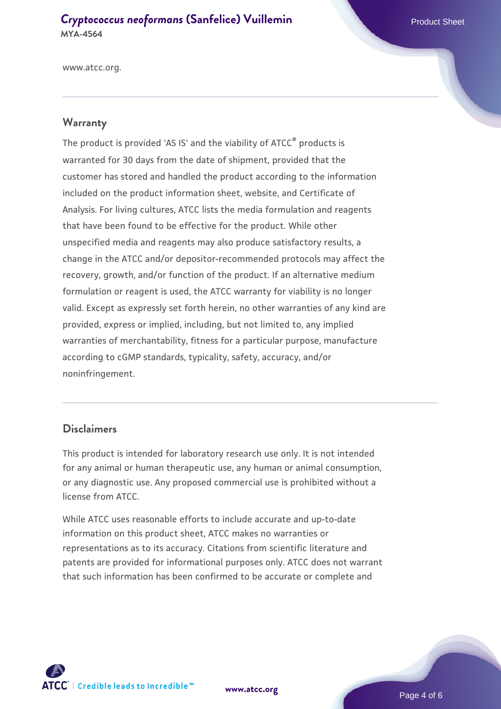www.atcc.org.

#### **Warranty**

The product is provided 'AS IS' and the viability of ATCC® products is warranted for 30 days from the date of shipment, provided that the customer has stored and handled the product according to the information included on the product information sheet, website, and Certificate of Analysis. For living cultures, ATCC lists the media formulation and reagents that have been found to be effective for the product. While other unspecified media and reagents may also produce satisfactory results, a change in the ATCC and/or depositor-recommended protocols may affect the recovery, growth, and/or function of the product. If an alternative medium formulation or reagent is used, the ATCC warranty for viability is no longer valid. Except as expressly set forth herein, no other warranties of any kind are provided, express or implied, including, but not limited to, any implied warranties of merchantability, fitness for a particular purpose, manufacture according to cGMP standards, typicality, safety, accuracy, and/or noninfringement.

#### **Disclaimers**

This product is intended for laboratory research use only. It is not intended for any animal or human therapeutic use, any human or animal consumption, or any diagnostic use. Any proposed commercial use is prohibited without a license from ATCC.

While ATCC uses reasonable efforts to include accurate and up-to-date information on this product sheet, ATCC makes no warranties or representations as to its accuracy. Citations from scientific literature and patents are provided for informational purposes only. ATCC does not warrant that such information has been confirmed to be accurate or complete and



**[www.atcc.org](http://www.atcc.org)**

Page 4 of 6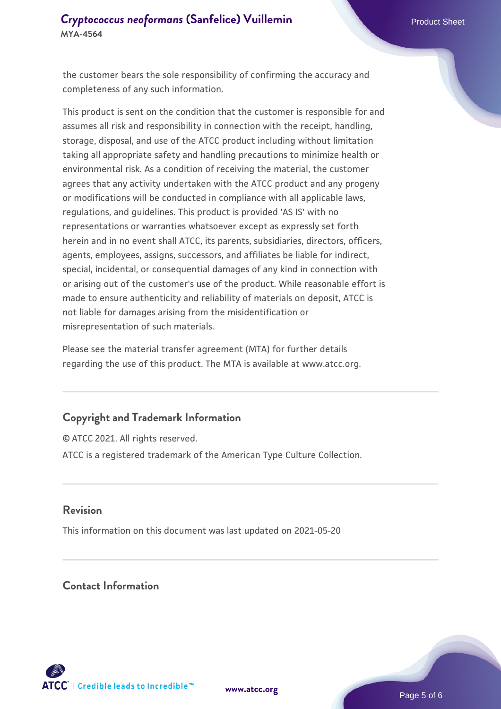the customer bears the sole responsibility of confirming the accuracy and completeness of any such information.

This product is sent on the condition that the customer is responsible for and assumes all risk and responsibility in connection with the receipt, handling, storage, disposal, and use of the ATCC product including without limitation taking all appropriate safety and handling precautions to minimize health or environmental risk. As a condition of receiving the material, the customer agrees that any activity undertaken with the ATCC product and any progeny or modifications will be conducted in compliance with all applicable laws, regulations, and guidelines. This product is provided 'AS IS' with no representations or warranties whatsoever except as expressly set forth herein and in no event shall ATCC, its parents, subsidiaries, directors, officers, agents, employees, assigns, successors, and affiliates be liable for indirect, special, incidental, or consequential damages of any kind in connection with or arising out of the customer's use of the product. While reasonable effort is made to ensure authenticity and reliability of materials on deposit, ATCC is not liable for damages arising from the misidentification or misrepresentation of such materials.

Please see the material transfer agreement (MTA) for further details regarding the use of this product. The MTA is available at www.atcc.org.

#### **Copyright and Trademark Information**

© ATCC 2021. All rights reserved. ATCC is a registered trademark of the American Type Culture Collection.

#### **Revision**

This information on this document was last updated on 2021-05-20

# **Contact Information**



**[www.atcc.org](http://www.atcc.org)**